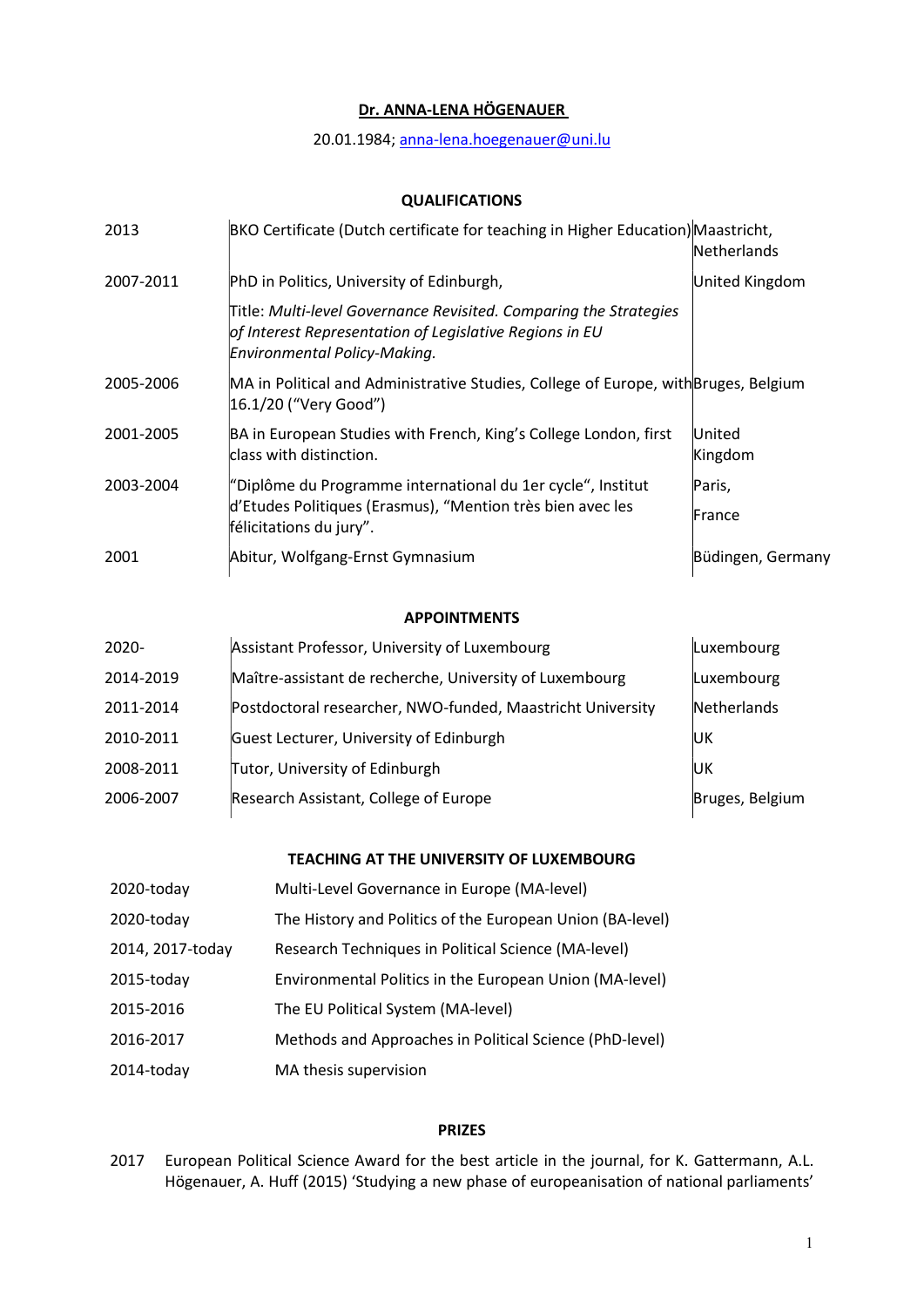# Dr. ANNA-LENA HÖGENAUER

20.01.1984; anna-lena.hoegenauer@uni.lu

## QUALIFICATIONS

| 2013      | BKO Certificate (Dutch certificate for teaching in Higher Education) Maastricht,                                                                             | Netherlands       |
|-----------|--------------------------------------------------------------------------------------------------------------------------------------------------------------|-------------------|
| 2007-2011 | PhD in Politics, University of Edinburgh,                                                                                                                    | United Kingdom    |
|           | Title: Multi-level Governance Revisited. Comparing the Strategies<br>of Interest Representation of Legislative Regions in EU<br>Environmental Policy-Making. |                   |
| 2005-2006 | MA in Political and Administrative Studies, College of Europe, with Bruges, Belgium<br>16.1/20 ("Very Good")                                                 |                   |
| 2001-2005 | BA in European Studies with French, King's College London, first<br>class with distinction.                                                                  | United<br>Kingdom |
| 2003-2004 | "Diplôme du Programme international du 1er cycle", Institut                                                                                                  | Paris,            |
|           | d'Etudes Politiques (Erasmus), "Mention très bien avec les<br>félicitations du jury".                                                                        | France            |
| 2001      | Abitur, Wolfgang-Ernst Gymnasium                                                                                                                             | Büdingen, Germany |

### APPOINTMENTS

| $2020 -$  | Assistant Professor, University of Luxembourg              | Luxembourg      |
|-----------|------------------------------------------------------------|-----------------|
| 2014-2019 | Maître-assistant de recherche, University of Luxembourg    | Luxembourg      |
| 2011-2014 | Postdoctoral researcher, NWO-funded, Maastricht University | Netherlands     |
| 2010-2011 | Guest Lecturer, University of Edinburgh                    | IJК             |
| 2008-2011 | Tutor, University of Edinburgh                             | IJК             |
| 2006-2007 | Research Assistant, College of Europe                      | Bruges, Belgium |

# TEACHING AT THE UNIVERSITY OF LUXEMBOURG

| 2020-today       | Multi-Level Governance in Europe (MA-level)               |
|------------------|-----------------------------------------------------------|
| 2020-today       | The History and Politics of the European Union (BA-level) |
| 2014, 2017-today | Research Techniques in Political Science (MA-level)       |
| 2015-today       | Environmental Politics in the European Union (MA-level)   |
| 2015-2016        | The EU Political System (MA-level)                        |
| 2016-2017        | Methods and Approaches in Political Science (PhD-level)   |
| 2014-today       | MA thesis supervision                                     |

### PRIZES

2017 European Political Science Award for the best article in the journal, for K. Gattermann, A.L. Högenauer, A. Huff (2015) 'Studying a new phase of europeanisation of national parliaments'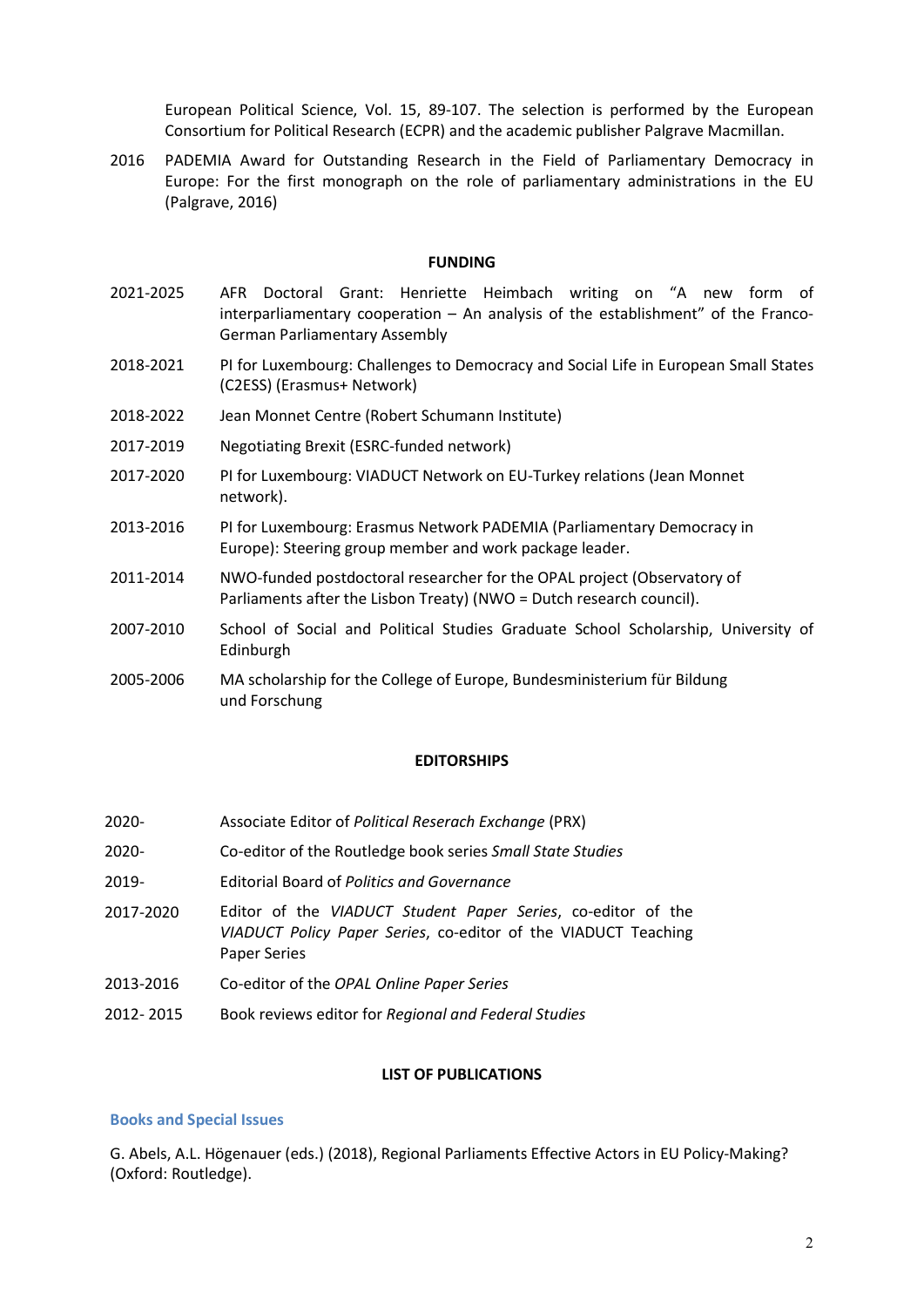European Political Science, Vol. 15, 89-107. The selection is performed by the European Consortium for Political Research (ECPR) and the academic publisher Palgrave Macmillan.

2016 PADEMIA Award for Outstanding Research in the Field of Parliamentary Democracy in Europe: For the first monograph on the role of parliamentary administrations in the EU (Palgrave, 2016)

#### FUNDING

- 2021-2025 AFR Doctoral Grant: Henriette Heimbach writing on "A new form of interparliamentary cooperation – An analysis of the establishment" of the Franco-German Parliamentary Assembly
- 2018-2021 PI for Luxembourg: Challenges to Democracy and Social Life in European Small States (C2ESS) (Erasmus+ Network)
- 2018-2022 Jean Monnet Centre (Robert Schumann Institute)
- 2017-2019 Negotiating Brexit (ESRC-funded network)
- 2017-2020 PI for Luxembourg: VIADUCT Network on EU-Turkey relations (Jean Monnet network).
- 2013-2016 PI for Luxembourg: Erasmus Network PADEMIA (Parliamentary Democracy in Europe): Steering group member and work package leader.
- 2011-2014 NWO-funded postdoctoral researcher for the OPAL project (Observatory of Parliaments after the Lisbon Treaty) (NWO = Dutch research council).
- 2007-2010 School of Social and Political Studies Graduate School Scholarship, University of Edinburgh
- 2005-2006 MA scholarship for the College of Europe, Bundesministerium für Bildung und Forschung

#### EDITORSHIPS

- 2020- Associate Editor of Political Reserach Exchange (PRX)
- 2020- Co-editor of the Routledge book series Small State Studies
- 2019- Editorial Board of Politics and Governance
- 2017-2020 Editor of the VIADUCT Student Paper Series, co-editor of the VIADUCT Policy Paper Series, co-editor of the VIADUCT Teaching Paper Series
- 2013-2016 Co-editor of the OPAL Online Paper Series
- 2012-2015 Book reviews editor for Regional and Federal Studies

#### LIST OF PUBLICATIONS

#### Books and Special Issues

G. Abels, A.L. Högenauer (eds.) (2018), Regional Parliaments Effective Actors in EU Policy-Making? (Oxford: Routledge).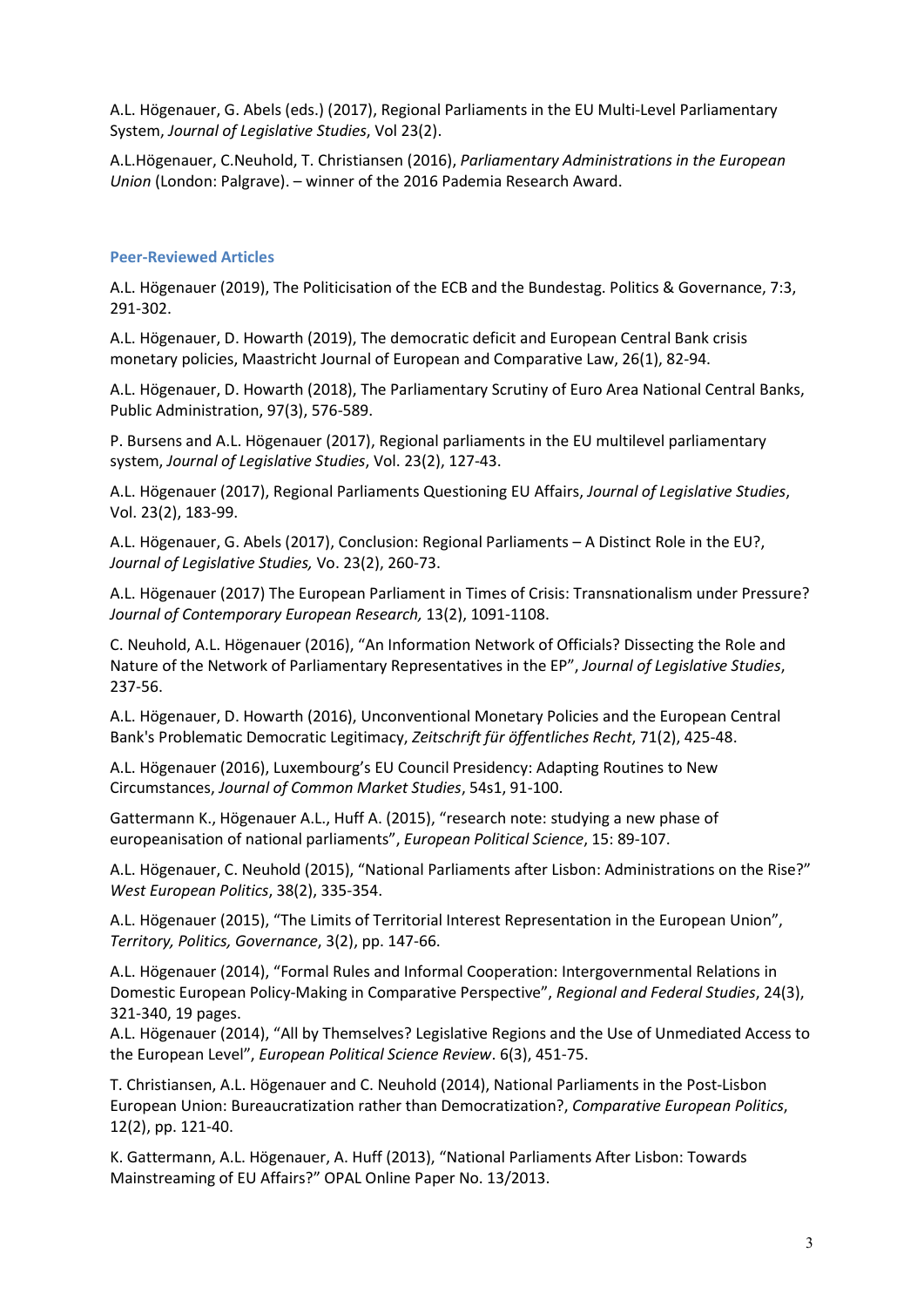A.L. Högenauer, G. Abels (eds.) (2017), Regional Parliaments in the EU Multi-Level Parliamentary System, Journal of Legislative Studies, Vol 23(2).

A.L.Högenauer, C.Neuhold, T. Christiansen (2016), Parliamentary Administrations in the European Union (London: Palgrave). – winner of the 2016 Pademia Research Award.

#### Peer-Reviewed Articles

A.L. Högenauer (2019), The Politicisation of the ECB and the Bundestag. Politics & Governance, 7:3, 291-302.

A.L. Högenauer, D. Howarth (2019), The democratic deficit and European Central Bank crisis monetary policies, Maastricht Journal of European and Comparative Law, 26(1), 82-94.

A.L. Högenauer, D. Howarth (2018), The Parliamentary Scrutiny of Euro Area National Central Banks, Public Administration, 97(3), 576-589.

P. Bursens and A.L. Högenauer (2017), Regional parliaments in the EU multilevel parliamentary system, Journal of Legislative Studies, Vol. 23(2), 127-43.

A.L. Högenauer (2017), Regional Parliaments Questioning EU Affairs, Journal of Legislative Studies, Vol. 23(2), 183-99.

A.L. Högenauer, G. Abels (2017), Conclusion: Regional Parliaments – A Distinct Role in the EU?, Journal of Legislative Studies, Vo. 23(2), 260-73.

A.L. Högenauer (2017) The European Parliament in Times of Crisis: Transnationalism under Pressure? Journal of Contemporary European Research, 13(2), 1091-1108.

C. Neuhold, A.L. Högenauer (2016), "An Information Network of Officials? Dissecting the Role and Nature of the Network of Parliamentary Representatives in the EP", Journal of Legislative Studies, 237-56.

A.L. Högenauer, D. Howarth (2016), Unconventional Monetary Policies and the European Central Bank's Problematic Democratic Legitimacy, Zeitschrift für öffentliches Recht, 71(2), 425-48.

A.L. Högenauer (2016), Luxembourg's EU Council Presidency: Adapting Routines to New Circumstances, Journal of Common Market Studies, 54s1, 91-100.

Gattermann K., Högenauer A.L., Huff A. (2015), "research note: studying a new phase of europeanisation of national parliaments", European Political Science, 15: 89-107.

A.L. Högenauer, C. Neuhold (2015), "National Parliaments after Lisbon: Administrations on the Rise?" West European Politics, 38(2), 335-354.

A.L. Högenauer (2015), "The Limits of Territorial Interest Representation in the European Union", Territory, Politics, Governance, 3(2), pp. 147-66.

A.L. Högenauer (2014), "Formal Rules and Informal Cooperation: Intergovernmental Relations in Domestic European Policy-Making in Comparative Perspective", Regional and Federal Studies, 24(3), 321-340, 19 pages.

A.L. Högenauer (2014), "All by Themselves? Legislative Regions and the Use of Unmediated Access to the European Level", European Political Science Review. 6(3), 451-75.

T. Christiansen, A.L. Högenauer and C. Neuhold (2014), National Parliaments in the Post-Lisbon European Union: Bureaucratization rather than Democratization?, Comparative European Politics, 12(2), pp. 121-40.

K. Gattermann, A.L. Högenauer, A. Huff (2013), "National Parliaments After Lisbon: Towards Mainstreaming of EU Affairs?" OPAL Online Paper No. 13/2013.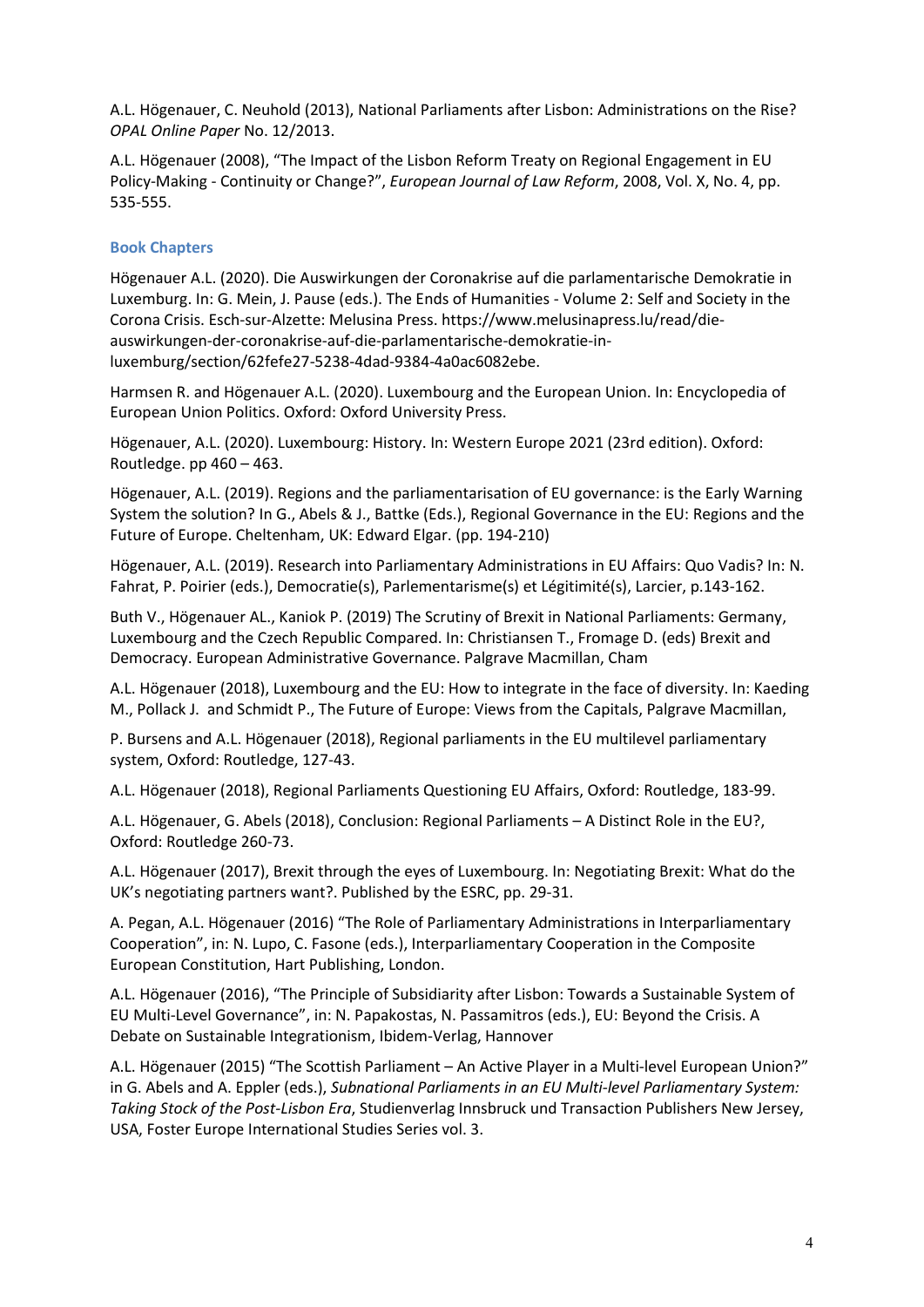A.L. Högenauer, C. Neuhold (2013), National Parliaments after Lisbon: Administrations on the Rise? OPAL Online Paper No. 12/2013.

A.L. Högenauer (2008), "The Impact of the Lisbon Reform Treaty on Regional Engagement in EU Policy-Making - Continuity or Change?", European Journal of Law Reform, 2008, Vol. X, No. 4, pp. 535-555.

### Book Chapters

Högenauer A.L. (2020). Die Auswirkungen der Coronakrise auf die parlamentarische Demokratie in Luxemburg. In: G. Mein, J. Pause (eds.). The Ends of Humanities - Volume 2: Self and Society in the Corona Crisis. Esch-sur-Alzette: Melusina Press. https://www.melusinapress.lu/read/dieauswirkungen-der-coronakrise-auf-die-parlamentarische-demokratie-inluxemburg/section/62fefe27-5238-4dad-9384-4a0ac6082ebe.

Harmsen R. and Högenauer A.L. (2020). Luxembourg and the European Union. In: Encyclopedia of European Union Politics. Oxford: Oxford University Press.

Högenauer, A.L. (2020). Luxembourg: History. In: Western Europe 2021 (23rd edition). Oxford: Routledge. pp 460 – 463.

Högenauer, A.L. (2019). Regions and the parliamentarisation of EU governance: is the Early Warning System the solution? In G., Abels & J., Battke (Eds.), Regional Governance in the EU: Regions and the Future of Europe. Cheltenham, UK: Edward Elgar. (pp. 194-210)

Högenauer, A.L. (2019). Research into Parliamentary Administrations in EU Affairs: Quo Vadis? In: N. Fahrat, P. Poirier (eds.), Democratie(s), Parlementarisme(s) et Légitimité(s), Larcier, p.143-162.

Buth V., Högenauer AL., Kaniok P. (2019) The Scrutiny of Brexit in National Parliaments: Germany, Luxembourg and the Czech Republic Compared. In: Christiansen T., Fromage D. (eds) Brexit and Democracy. European Administrative Governance. Palgrave Macmillan, Cham

A.L. Högenauer (2018), Luxembourg and the EU: How to integrate in the face of diversity. In: Kaeding M., Pollack J. and Schmidt P., The Future of Europe: Views from the Capitals, Palgrave Macmillan,

P. Bursens and A.L. Högenauer (2018), Regional parliaments in the EU multilevel parliamentary system, Oxford: Routledge, 127-43.

A.L. Högenauer (2018), Regional Parliaments Questioning EU Affairs, Oxford: Routledge, 183-99.

A.L. Högenauer, G. Abels (2018), Conclusion: Regional Parliaments – A Distinct Role in the EU?, Oxford: Routledge 260-73.

A.L. Högenauer (2017), Brexit through the eyes of Luxembourg. In: Negotiating Brexit: What do the UK's negotiating partners want?. Published by the ESRC, pp. 29-31.

A. Pegan, A.L. Högenauer (2016) "The Role of Parliamentary Administrations in Interparliamentary Cooperation", in: N. Lupo, C. Fasone (eds.), Interparliamentary Cooperation in the Composite European Constitution, Hart Publishing, London.

A.L. Högenauer (2016), "The Principle of Subsidiarity after Lisbon: Towards a Sustainable System of EU Multi-Level Governance", in: N. Papakostas, N. Passamitros (eds.), EU: Beyond the Crisis. A Debate on Sustainable Integrationism, Ibidem-Verlag, Hannover

A.L. Högenauer (2015) "The Scottish Parliament – An Active Player in a Multi-level European Union?" in G. Abels and A. Eppler (eds.), Subnational Parliaments in an EU Multi-level Parliamentary System: Taking Stock of the Post-Lisbon Era, Studienverlag Innsbruck und Transaction Publishers New Jersey, USA, Foster Europe International Studies Series vol. 3.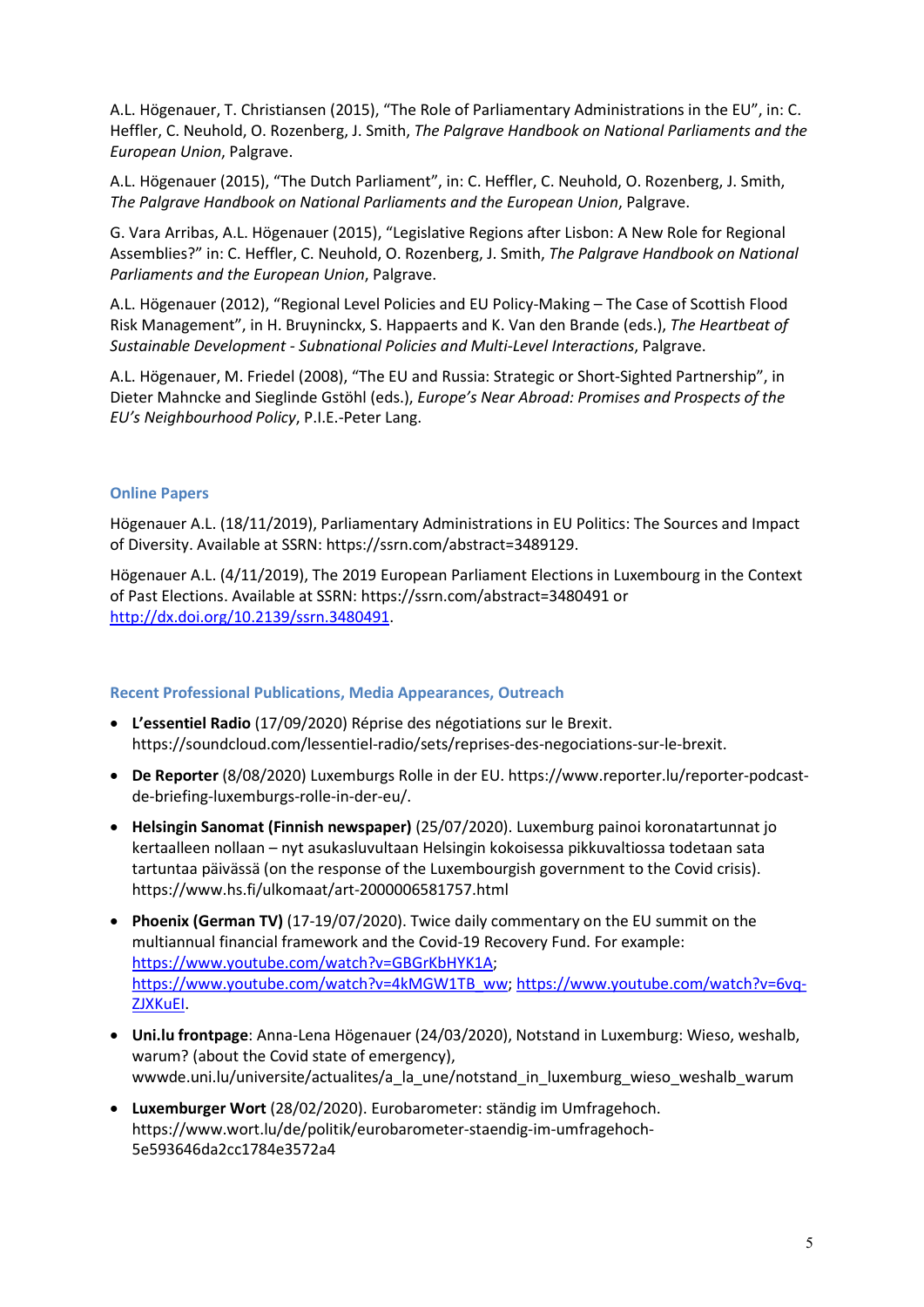A.L. Högenauer, T. Christiansen (2015), "The Role of Parliamentary Administrations in the EU", in: C. Heffler, C. Neuhold, O. Rozenberg, J. Smith, The Palgrave Handbook on National Parliaments and the European Union, Palgrave.

A.L. Högenauer (2015), "The Dutch Parliament", in: C. Heffler, C. Neuhold, O. Rozenberg, J. Smith, The Palgrave Handbook on National Parliaments and the European Union, Palgrave.

G. Vara Arribas, A.L. Högenauer (2015), "Legislative Regions after Lisbon: A New Role for Regional Assemblies?" in: C. Heffler, C. Neuhold, O. Rozenberg, J. Smith, The Palgrave Handbook on National Parliaments and the European Union, Palgrave.

A.L. Högenauer (2012), "Regional Level Policies and EU Policy-Making – The Case of Scottish Flood Risk Management", in H. Bruyninckx, S. Happaerts and K. Van den Brande (eds.), The Heartbeat of Sustainable Development - Subnational Policies and Multi-Level Interactions, Palgrave.

A.L. Högenauer, M. Friedel (2008), "The EU and Russia: Strategic or Short-Sighted Partnership", in Dieter Mahncke and Sieglinde Gstöhl (eds.), Europe's Near Abroad: Promises and Prospects of the EU's Neighbourhood Policy, P.I.E.-Peter Lang.

## Online Papers

Högenauer A.L. (18/11/2019), Parliamentary Administrations in EU Politics: The Sources and Impact of Diversity. Available at SSRN: https://ssrn.com/abstract=3489129.

Högenauer A.L. (4/11/2019), The 2019 European Parliament Elections in Luxembourg in the Context of Past Elections. Available at SSRN: https://ssrn.com/abstract=3480491 or http://dx.doi.org/10.2139/ssrn.3480491.

## Recent Professional Publications, Media Appearances, Outreach

- L'essentiel Radio (17/09/2020) Réprise des négotiations sur le Brexit. https://soundcloud.com/lessentiel-radio/sets/reprises-des-negociations-sur-le-brexit.
- De Reporter (8/08/2020) Luxemburgs Rolle in der EU. https://www.reporter.lu/reporter-podcastde-briefing-luxemburgs-rolle-in-der-eu/.
- Helsingin Sanomat (Finnish newspaper) (25/07/2020). Luxemburg painoi koronatartunnat jo kertaalleen nollaan – nyt asukasluvultaan Helsingin kokoisessa pikkuvaltiossa todetaan sata tartuntaa päivässä (on the response of the Luxembourgish government to the Covid crisis). https://www.hs.fi/ulkomaat/art-2000006581757.html
- Phoenix (German TV) (17-19/07/2020). Twice daily commentary on the EU summit on the multiannual financial framework and the Covid-19 Recovery Fund. For example: https://www.youtube.com/watch?v=GBGrKbHYK1A; https://www.youtube.com/watch?v=4kMGW1TB\_ww; https://www.youtube.com/watch?v=6vq-ZJXKuEI.
- Uni.lu frontpage: Anna-Lena Högenauer (24/03/2020), Notstand in Luxemburg: Wieso, weshalb, warum? (about the Covid state of emergency), wwwde.uni.lu/universite/actualites/a\_la\_une/notstand\_in\_luxemburg\_wieso\_weshalb\_warum
- Luxemburger Wort (28/02/2020). Eurobarometer: ständig im Umfragehoch. https://www.wort.lu/de/politik/eurobarometer-staendig-im-umfragehoch-5e593646da2cc1784e3572a4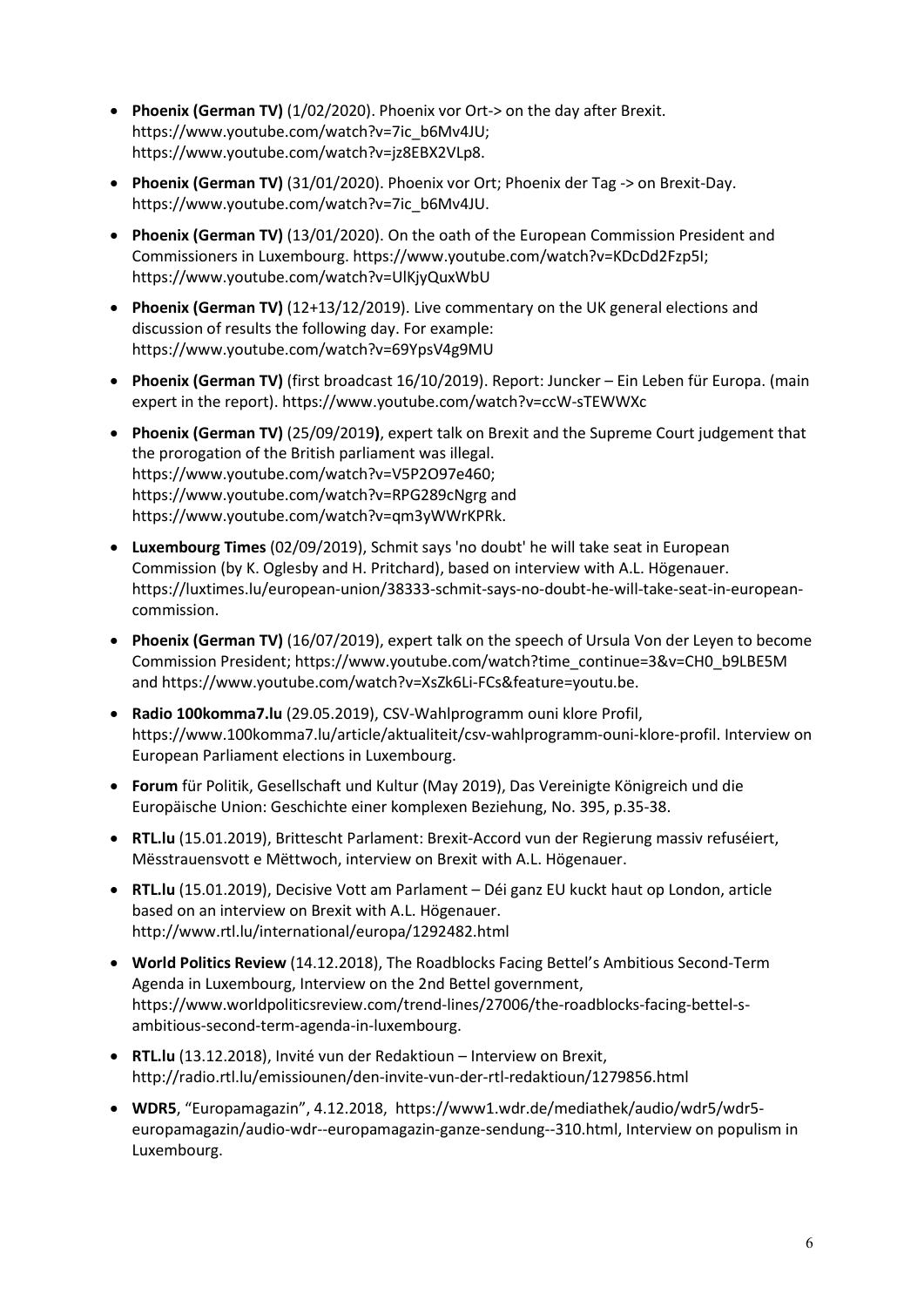- Phoenix (German TV) (1/02/2020). Phoenix vor Ort-> on the day after Brexit. https://www.youtube.com/watch?v=7ic\_b6Mv4JU; https://www.youtube.com/watch?v=jz8EBX2VLp8.
- Phoenix (German TV) (31/01/2020). Phoenix vor Ort; Phoenix der Tag -> on Brexit-Day. https://www.youtube.com/watch?v=7ic\_b6Mv4JU.
- Phoenix (German TV) (13/01/2020). On the oath of the European Commission President and Commissioners in Luxembourg. https://www.youtube.com/watch?v=KDcDd2Fzp5I; https://www.youtube.com/watch?v=UlKjyQuxWbU
- Phoenix (German TV) (12+13/12/2019). Live commentary on the UK general elections and discussion of results the following day. For example: https://www.youtube.com/watch?v=69YpsV4g9MU
- Phoenix (German TV) (first broadcast 16/10/2019). Report: Juncker Ein Leben für Europa. (main expert in the report). https://www.youtube.com/watch?v=ccW-sTEWWXc
- Phoenix (German TV) (25/09/2019), expert talk on Brexit and the Supreme Court judgement that the prorogation of the British parliament was illegal. https://www.youtube.com/watch?v=V5P2O97e460; https://www.youtube.com/watch?v=RPG289cNgrg and https://www.youtube.com/watch?v=qm3yWWrKPRk.
- Luxembourg Times (02/09/2019), Schmit says 'no doubt' he will take seat in European Commission (by K. Oglesby and H. Pritchard), based on interview with A.L. Högenauer. https://luxtimes.lu/european-union/38333-schmit-says-no-doubt-he-will-take-seat-in-europeancommission.
- Phoenix (German TV) (16/07/2019), expert talk on the speech of Ursula Von der Leven to become Commission President; https://www.youtube.com/watch?time\_continue=3&v=CH0\_b9LBE5M and https://www.youtube.com/watch?v=XsZk6Li-FCs&feature=youtu.be.
- Radio 100komma7.lu (29.05.2019), CSV-Wahlprogramm ouni klore Profil, https://www.100komma7.lu/article/aktualiteit/csv-wahlprogramm-ouni-klore-profil. Interview on European Parliament elections in Luxembourg.
- Forum für Politik, Gesellschaft und Kultur (May 2019), Das Vereinigte Königreich und die Europäische Union: Geschichte einer komplexen Beziehung, No. 395, p.35-38.
- RTL.lu (15.01.2019), Brittescht Parlament: Brexit-Accord vun der Regierung massiv refuséiert, Mësstrauensvott e Mëttwoch, interview on Brexit with A.L. Högenauer.
- RTL.lu (15.01.2019), Decisive Vott am Parlament Déi ganz EU kuckt haut op London, article based on an interview on Brexit with A.L. Högenauer. http://www.rtl.lu/international/europa/1292482.html
- World Politics Review (14.12.2018), The Roadblocks Facing Bettel's Ambitious Second-Term Agenda in Luxembourg, Interview on the 2nd Bettel government, https://www.worldpoliticsreview.com/trend-lines/27006/the-roadblocks-facing-bettel-sambitious-second-term-agenda-in-luxembourg.
- RTL.lu (13.12.2018), Invité vun der Redaktioun Interview on Brexit, http://radio.rtl.lu/emissiounen/den-invite-vun-der-rtl-redaktioun/1279856.html
- WDR5, "Europamagazin", 4.12.2018, https://www1.wdr.de/mediathek/audio/wdr5/wdr5 europamagazin/audio-wdr--europamagazin-ganze-sendung--310.html, Interview on populism in Luxembourg.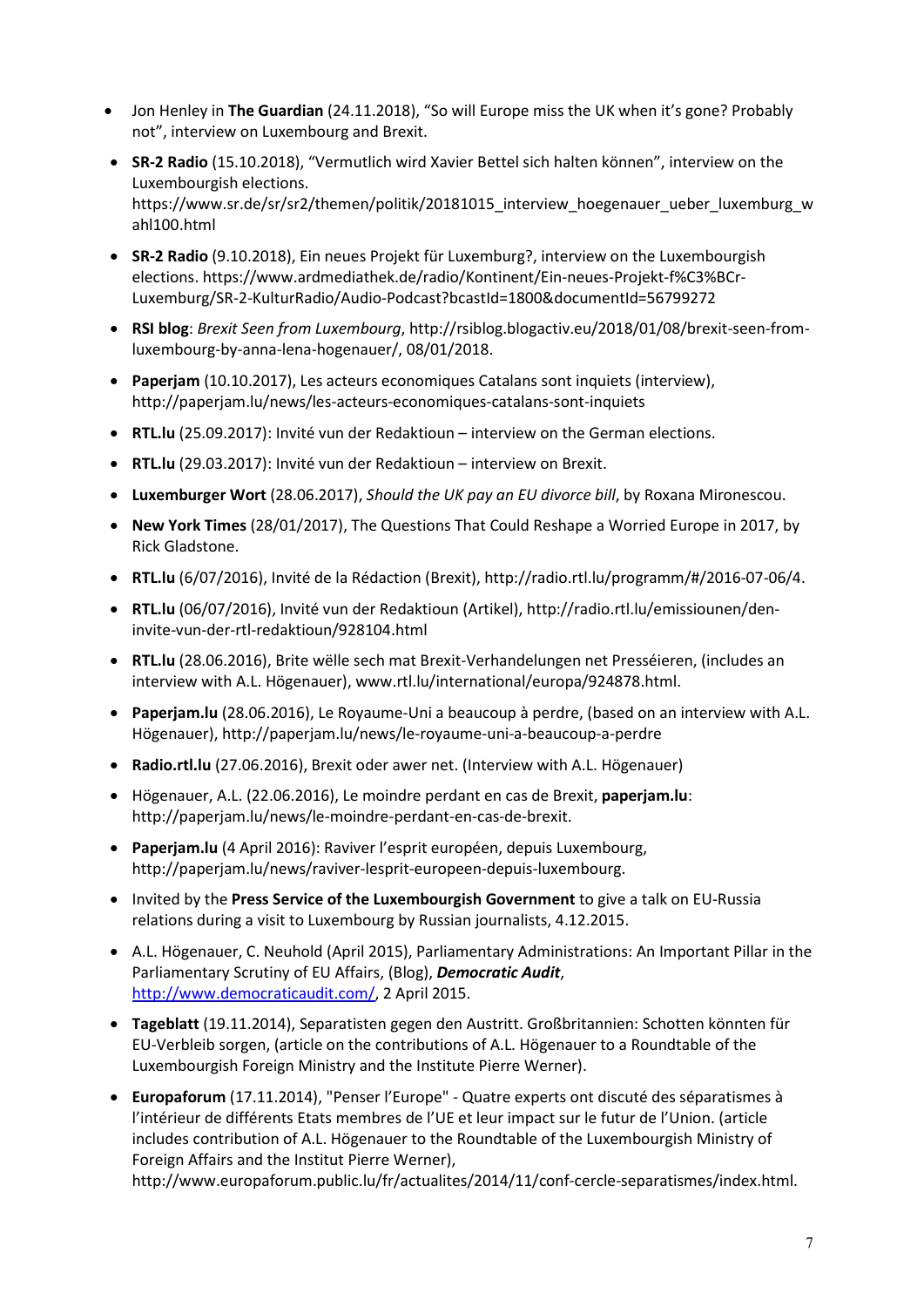- Jon Henley in The Guardian (24.11.2018), "So will Europe miss the UK when it's gone? Probably not", interview on Luxembourg and Brexit.
- SR-2 Radio (15.10.2018), "Vermutlich wird Xavier Bettel sich halten können", interview on the Luxembourgish elections. https://www.sr.de/sr/sr2/themen/politik/20181015\_interview\_hoegenauer\_ueber\_luxemburg\_w ahl100.html
- SR-2 Radio (9.10.2018), Ein neues Projekt für Luxemburg?, interview on the Luxembourgish elections. https://www.ardmediathek.de/radio/Kontinent/Ein-neues-Projekt-f%C3%BCr-Luxemburg/SR-2-KulturRadio/Audio-Podcast?bcastId=1800&documentId=56799272
- RSI blog: Brexit Seen from Luxembourg, http://rsiblog.blogactiv.eu/2018/01/08/brexit-seen-fromluxembourg-by-anna-lena-hogenauer/, 08/01/2018.
- Paperjam (10.10.2017), Les acteurs economiques Catalans sont inquiets (interview), http://paperjam.lu/news/les-acteurs-economiques-catalans-sont-inquiets
- RTL.lu (25.09.2017): Invité vun der Redaktioun interview on the German elections.
- RTL.lu (29.03.2017): Invité vun der Redaktioun interview on Brexit.
- Luxemburger Wort (28.06.2017), Should the UK pay an EU divorce bill, by Roxana Mironescou.
- New York Times (28/01/2017), The Questions That Could Reshape a Worried Europe in 2017, by Rick Gladstone.
- RTL.lu (6/07/2016), Invité de la Rédaction (Brexit), http://radio.rtl.lu/programm/#/2016-07-06/4.
- RTL.lu (06/07/2016), Invité vun der Redaktioun (Artikel), http://radio.rtl.lu/emissiounen/deninvite-vun-der-rtl-redaktioun/928104.html
- RTL.lu (28.06.2016), Brite wëlle sech mat Brexit-Verhandelungen net Presséieren, (includes an interview with A.L. Högenauer), www.rtl.lu/international/europa/924878.html.
- Paperjam.lu (28.06.2016), Le Royaume-Uni a beaucoup à perdre, (based on an interview with A.L. Högenauer), http://paperjam.lu/news/le-royaume-uni-a-beaucoup-a-perdre
- Radio.rtl.lu (27.06.2016), Brexit oder awer net. (Interview with A.L. Högenauer)
- Högenauer, A.L. (22.06.2016), Le moindre perdant en cas de Brexit, paperjam.lu: http://paperjam.lu/news/le-moindre-perdant-en-cas-de-brexit.
- Paperjam.lu (4 April 2016): Raviver l'esprit européen, depuis Luxembourg, http://paperjam.lu/news/raviver-lesprit-europeen-depuis-luxembourg.
- Invited by the Press Service of the Luxembourgish Government to give a talk on EU-Russia relations during a visit to Luxembourg by Russian journalists, 4.12.2015.
- A.L. Högenauer, C. Neuhold (April 2015), Parliamentary Administrations: An Important Pillar in the Parliamentary Scrutiny of EU Affairs, (Blog), Democratic Audit, http://www.democraticaudit.com/, 2 April 2015.
- Tageblatt (19.11.2014), Separatisten gegen den Austritt. Großbritannien: Schotten könnten für EU-Verbleib sorgen, (article on the contributions of A.L. Högenauer to a Roundtable of the Luxembourgish Foreign Ministry and the Institute Pierre Werner).
- Europaforum (17.11.2014), "Penser l'Europe" Quatre experts ont discuté des séparatismes à l'intérieur de différents Etats membres de l'UE et leur impact sur le futur de l'Union. (article includes contribution of A.L. Högenauer to the Roundtable of the Luxembourgish Ministry of Foreign Affairs and the Institut Pierre Werner),

http://www.europaforum.public.lu/fr/actualites/2014/11/conf-cercle-separatismes/index.html.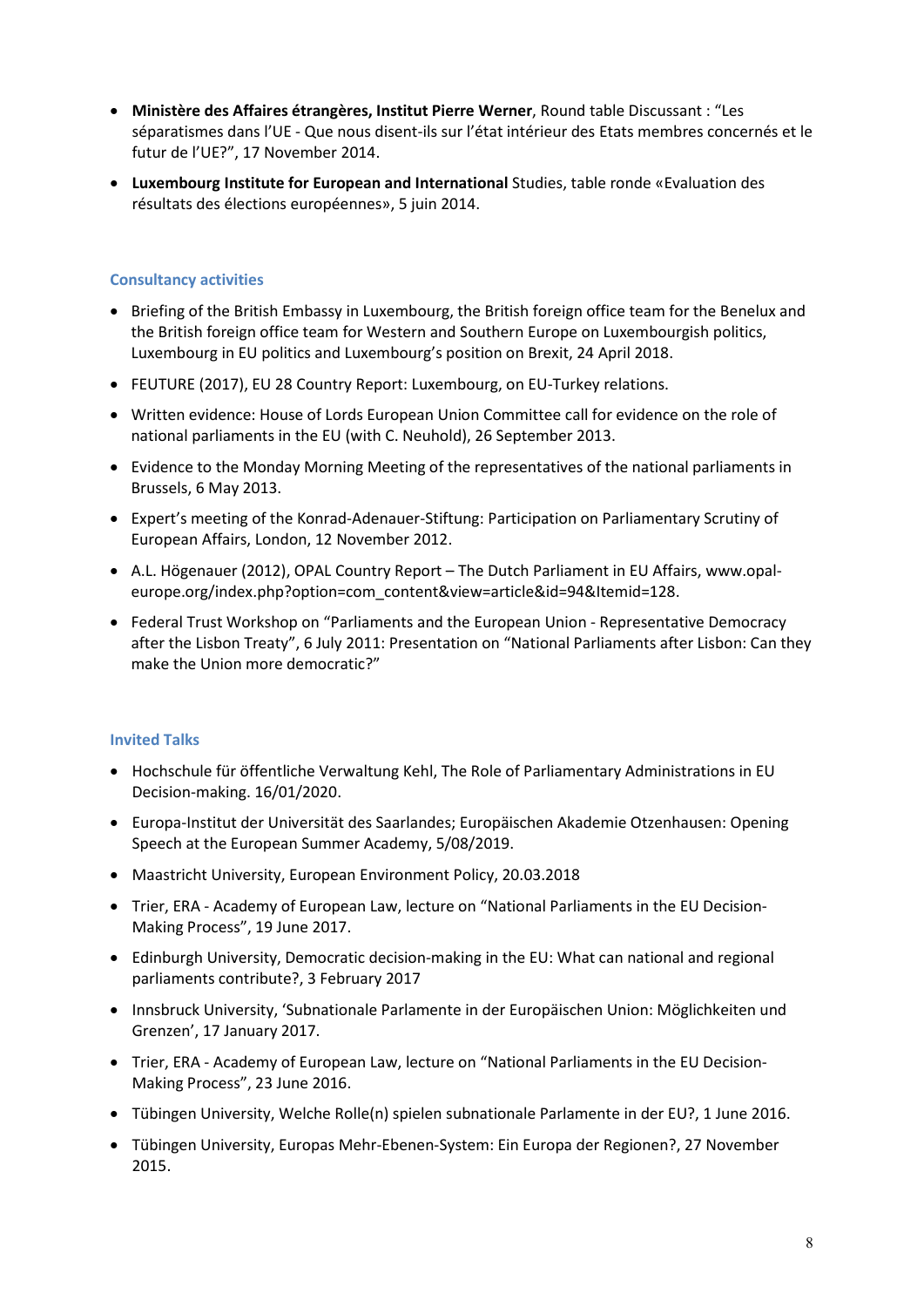- Ministère des Affaires étrangères, Institut Pierre Werner, Round table Discussant : "Les séparatismes dans l'UE - Que nous disent-ils sur l'état intérieur des Etats membres concernés et le futur de l'UE?", 17 November 2014.
- Luxembourg Institute for European and International Studies, table ronde «Evaluation des résultats des élections européennes», 5 juin 2014.

# Consultancy activities

- Briefing of the British Embassy in Luxembourg, the British foreign office team for the Benelux and the British foreign office team for Western and Southern Europe on Luxembourgish politics, Luxembourg in EU politics and Luxembourg's position on Brexit, 24 April 2018.
- FEUTURE (2017), EU 28 Country Report: Luxembourg, on EU-Turkey relations.
- Written evidence: House of Lords European Union Committee call for evidence on the role of national parliaments in the EU (with C. Neuhold), 26 September 2013.
- Evidence to the Monday Morning Meeting of the representatives of the national parliaments in Brussels, 6 May 2013.
- Expert's meeting of the Konrad-Adenauer-Stiftung: Participation on Parliamentary Scrutiny of European Affairs, London, 12 November 2012.
- A.L. Högenauer (2012), OPAL Country Report The Dutch Parliament in EU Affairs, www.opaleurope.org/index.php?option=com\_content&view=article&id=94&Itemid=128.
- Federal Trust Workshop on "Parliaments and the European Union Representative Democracy after the Lisbon Treaty", 6 July 2011: Presentation on "National Parliaments after Lisbon: Can they make the Union more democratic?"

## Invited Talks

- Hochschule für öffentliche Verwaltung Kehl, The Role of Parliamentary Administrations in EU Decision-making. 16/01/2020.
- Europa-Institut der Universität des Saarlandes; Europäischen Akademie Otzenhausen: Opening Speech at the European Summer Academy, 5/08/2019.
- Maastricht University, European Environment Policy, 20.03.2018
- Trier, ERA Academy of European Law, lecture on "National Parliaments in the EU Decision-Making Process", 19 June 2017.
- Edinburgh University, Democratic decision-making in the EU: What can national and regional parliaments contribute?, 3 February 2017
- Innsbruck University, 'Subnationale Parlamente in der Europäischen Union: Möglichkeiten und Grenzen', 17 January 2017.
- Trier, ERA Academy of European Law, lecture on "National Parliaments in the EU Decision-Making Process", 23 June 2016.
- Tübingen University, Welche Rolle(n) spielen subnationale Parlamente in der EU?, 1 June 2016.
- Tübingen University, Europas Mehr-Ebenen-System: Ein Europa der Regionen?, 27 November 2015.